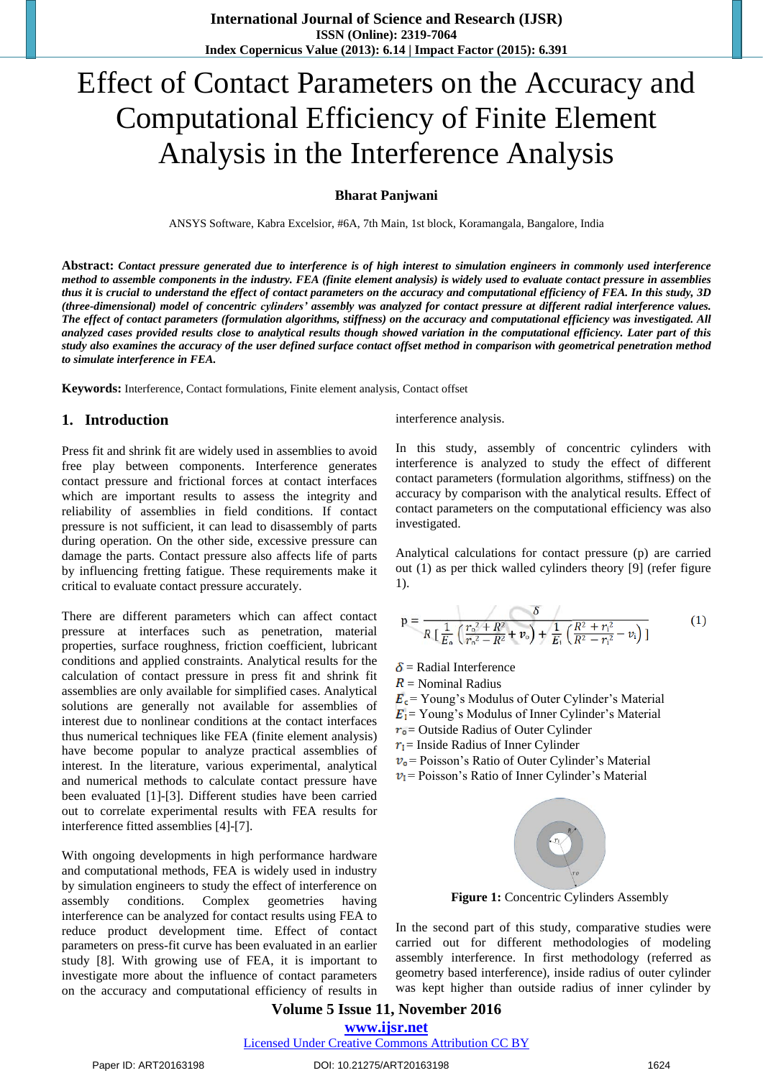# Effect of Contact Parameters on the Accuracy and Computational Efficiency of Finite Element Analysis in the Interference Analysis

#### **Bharat Panjwani**

ANSYS Software, Kabra Excelsior, #6A, 7th Main, 1st block, Koramangala, Bangalore, India

**Abstract:** *Contact pressure generated due to interference is of high interest to simulation engineers in commonly used interference method to assemble components in the industry. FEA (finite element analysis) is widely used to evaluate contact pressure in assemblies thus it is crucial to understand the effect of contact parameters on the accuracy and computational efficiency of FEA. In this study, 3D (three-dimensional) model of concentric cylinders' assembly was analyzed for contact pressure at different radial interference values. The effect of contact parameters (formulation algorithms, stiffness) on the accuracy and computational efficiency was investigated. All analyzed cases provided results close to analytical results though showed variation in the computational efficiency. Later part of this study also examines the accuracy of the user defined surface contact offset method in comparison with geometrical penetration method to simulate interference in FEA.* 

**Keywords:** Interference, Contact formulations, Finite element analysis, Contact offset

#### **1. Introduction**

Press fit and shrink fit are widely used in assemblies to avoid free play between components. Interference generates contact pressure and frictional forces at contact interfaces which are important results to assess the integrity and reliability of assemblies in field conditions. If contact pressure is not sufficient, it can lead to disassembly of parts during operation. On the other side, excessive pressure can damage the parts. Contact pressure also affects life of parts by influencing fretting fatigue. These requirements make it critical to evaluate contact pressure accurately.

There are different parameters which can affect contact pressure at interfaces such as penetration, material properties, surface roughness, friction coefficient, lubricant conditions and applied constraints. Analytical results for the calculation of contact pressure in press fit and shrink fit assemblies are only available for simplified cases. Analytical solutions are generally not available for assemblies of interest due to nonlinear conditions at the contact interfaces thus numerical techniques like FEA (finite element analysis) have become popular to analyze practical assemblies of interest. In the literature, various experimental, analytical and numerical methods to calculate contact pressure have been evaluated [1]-[3]. Different studies have been carried out to correlate experimental results with FEA results for interference fitted assemblies [4]-[7].

With ongoing developments in high performance hardware and computational methods, FEA is widely used in industry by simulation engineers to study the effect of interference on assembly conditions. Complex geometries having interference can be analyzed for contact results using FEA to reduce product development time. Effect of contact parameters on press-fit curve has been evaluated in an earlier study [8]. With growing use of FEA, it is important to investigate more about the influence of contact parameters on the accuracy and computational efficiency of results in interference analysis.

In this study, assembly of concentric cylinders with interference is analyzed to study the effect of different contact parameters (formulation algorithms, stiffness) on the accuracy by comparison with the analytical results. Effect of contact parameters on the computational efficiency was also investigated.

Analytical calculations for contact pressure (p) are carried out (1) as per thick walled cylinders theory [9] (refer figure 1).

$$
p = \frac{\delta}{R \left[ \frac{1}{E_o} \left( \frac{r_o^2 + R^2}{r_o^2 - R^2} + \nu_o \right) + \frac{1}{E_i} \left( \frac{R^2 + r_i^2}{R^2 - r_i^2} - \nu_i \right) \right]}
$$
(1)

- $\delta$  = Radial Interference
- $R =$  Nominal Radius
- $E_c$  = Young's Modulus of Outer Cylinder's Material
- $E_1$  = Young's Modulus of Inner Cylinder's Material
- $r_0$  = Outside Radius of Outer Cylinder
- $r_1$  = Inside Radius of Inner Cylinder
- $v_0$  = Poisson's Ratio of Outer Cylinder's Material
- $v_1$  = Poisson's Ratio of Inner Cylinder's Material



**Figure 1:** Concentric Cylinders Assembly

In the second part of this study, comparative studies were carried out for different methodologies of modeling assembly interference. In first methodology (referred as geometry based interference), inside radius of outer cylinder was kept higher than outside radius of inner cylinder by

# **Volume 5 Issue 11, November 2016 www.ijsr.net**

Licensed Under Creative Commons Attribution CC BY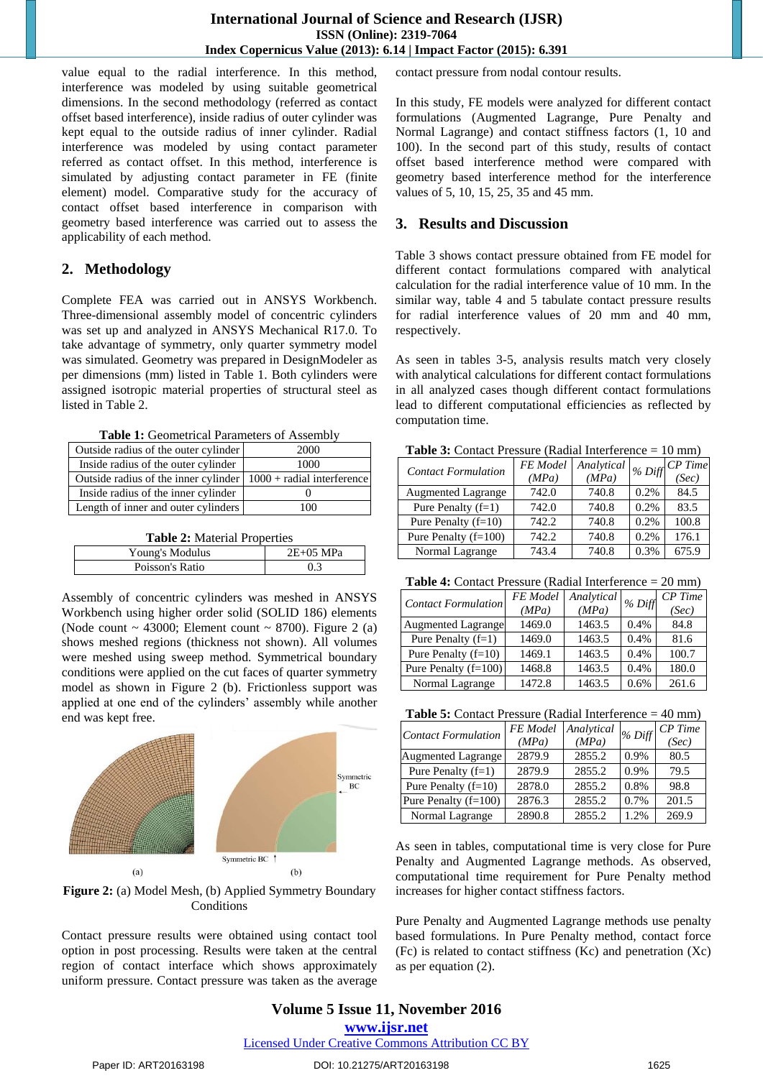value equal to the radial interference. In this method, interference was modeled by using suitable geometrical dimensions. In the second methodology (referred as contact offset based interference), inside radius of outer cylinder was kept equal to the outside radius of inner cylinder. Radial interference was modeled by using contact parameter referred as contact offset. In this method, interference is simulated by adjusting contact parameter in FE (finite element) model. Comparative study for the accuracy of contact offset based interference in comparison with geometry based interference was carried out to assess the applicability of each method.

## **2. Methodology**

Complete FEA was carried out in ANSYS Workbench. Three-dimensional assembly model of concentric cylinders was set up and analyzed in ANSYS Mechanical R17.0. To take advantage of symmetry, only quarter symmetry model was simulated. Geometry was prepared in DesignModeler as per dimensions (mm) listed in Table 1. Both cylinders were assigned isotropic material properties of structural steel as listed in Table 2.

| Table 1: Geometrical Parameters of Assembly |  |
|---------------------------------------------|--|
|---------------------------------------------|--|

| Outside radius of the outer cylinder                                    | 2000 |
|-------------------------------------------------------------------------|------|
| Inside radius of the outer cylinder                                     | 1000 |
| Outside radius of the inner cylinder $\vert 1000 +$ radial interference |      |
| Inside radius of the inner cylinder                                     |      |
| Length of inner and outer cylinders                                     | 100  |

**Table 2:** Material Properties

| Young's Modulus | $2E+05$ MPa |
|-----------------|-------------|
| Poisson's Ratio |             |

Assembly of concentric cylinders was meshed in ANSYS Workbench using higher order solid (SOLID 186) elements (Node count  $\sim$  43000; Element count  $\sim$  8700). Figure 2 (a) shows meshed regions (thickness not shown). All volumes were meshed using sweep method. Symmetrical boundary conditions were applied on the cut faces of quarter symmetry model as shown in Figure 2 (b). Frictionless support was applied at one end of the cylinders' assembly while another end was kept free.





Contact pressure results were obtained using contact tool option in post processing. Results were taken at the central region of contact interface which shows approximately uniform pressure. Contact pressure was taken as the average contact pressure from nodal contour results.

In this study, FE models were analyzed for different contact formulations (Augmented Lagrange, Pure Penalty and Normal Lagrange) and contact stiffness factors (1, 10 and 100). In the second part of this study, results of contact offset based interference method were compared with geometry based interference method for the interference values of 5, 10, 15, 25, 35 and 45 mm.

#### **3. Results and Discussion**

Table 3 shows contact pressure obtained from FE model for different contact formulations compared with analytical calculation for the radial interference value of 10 mm. In the similar way, table 4 and 5 tabulate contact pressure results for radial interference values of 20 mm and 40 mm, respectively.

As seen in tables 3-5, analysis results match very closely with analytical calculations for different contact formulations in all analyzed cases though different contact formulations lead to different computational efficiencies as reflected by computation time.

**Table 3:** Contact Pressure (Radial Interference = 10 mm)

| <b>Contact Formulation</b> | FE Model | Analytical |         | $\cdot$   % Diff $\boxed{CP \, Time}$ |  |
|----------------------------|----------|------------|---------|---------------------------------------|--|
|                            | (MPa)    | (MPa)      |         | (Sec)                                 |  |
| <b>Augmented Lagrange</b>  | 742.0    | 740.8      | $0.2\%$ | 84.5                                  |  |
| Pure Penalty $(f=1)$       | 742.0    | 740.8      | $0.2\%$ | 83.5                                  |  |
| Pure Penalty $(f=10)$      | 742.2    | 740.8      | 0.2%    | 100.8                                 |  |
| Pure Penalty $(f=100)$     | 742.2    | 740.8      | 0.2%    | 176.1                                 |  |
| Normal Lagrange            | 743.4    | 740.8      | 0.3%    | 675.9                                 |  |

**Table 4:** Contact Pressure (Radial Interference = 20 mm)

| <b>Contact Formulation</b> | <b>FE</b> Model<br>(MPa) | Analytical<br>(MPa) | $%$ Diff | $CP$ Time<br>(Sec) |
|----------------------------|--------------------------|---------------------|----------|--------------------|
| <b>Augmented Lagrange</b>  | 1469.0                   | 1463.5              | 0.4%     | 84.8               |
| Pure Penalty $(f=1)$       | 1469.0                   | 1463.5              | 0.4%     | 81.6               |
| Pure Penalty $(f=10)$      | 1469.1                   | 1463.5              | 0.4%     | 100.7              |
| Pure Penalty $(f=100)$     | 1468.8                   | 1463.5              | 0.4%     | 180.0              |
| Normal Lagrange            | 1472.8                   | 1463.5              | 0.6%     | 261.6              |

| <b>Table 5:</b> Contact Pressure (Radial Interference $= 40$ mm) |  |  |  |  |
|------------------------------------------------------------------|--|--|--|--|
|------------------------------------------------------------------|--|--|--|--|

| <b>Contact Formulation</b> | FE Model<br>(MPa) | Analytical<br>(MPa) | % Diff  | $CP$ Time<br>(Sec) |
|----------------------------|-------------------|---------------------|---------|--------------------|
| <b>Augmented Lagrange</b>  | 2879.9            | 2855.2              | 0.9%    | 80.5               |
| Pure Penalty $(f=1)$       | 2879.9            | 2855.2              | $0.9\%$ | 79.5               |
| Pure Penalty $(f=10)$      | 2878.0            | 2855.2              | $0.8\%$ | 98.8               |
| Pure Penalty $(f=100)$     | 2876.3            | 2855.2              | 0.7%    | 201.5              |
| Normal Lagrange            | 2890.8            | 2855.2              | 1.2%    | 269.9              |

As seen in tables, computational time is very close for Pure Penalty and Augmented Lagrange methods. As observed, computational time requirement for Pure Penalty method increases for higher contact stiffness factors.

Pure Penalty and Augmented Lagrange methods use penalty based formulations. In Pure Penalty method, contact force (Fc) is related to contact stiffness (Kc) and penetration (Xc) as per equation (2).

**Volume 5 Issue 11, November 2016 www.ijsr.net** Licensed Under Creative Commons Attribution CC BY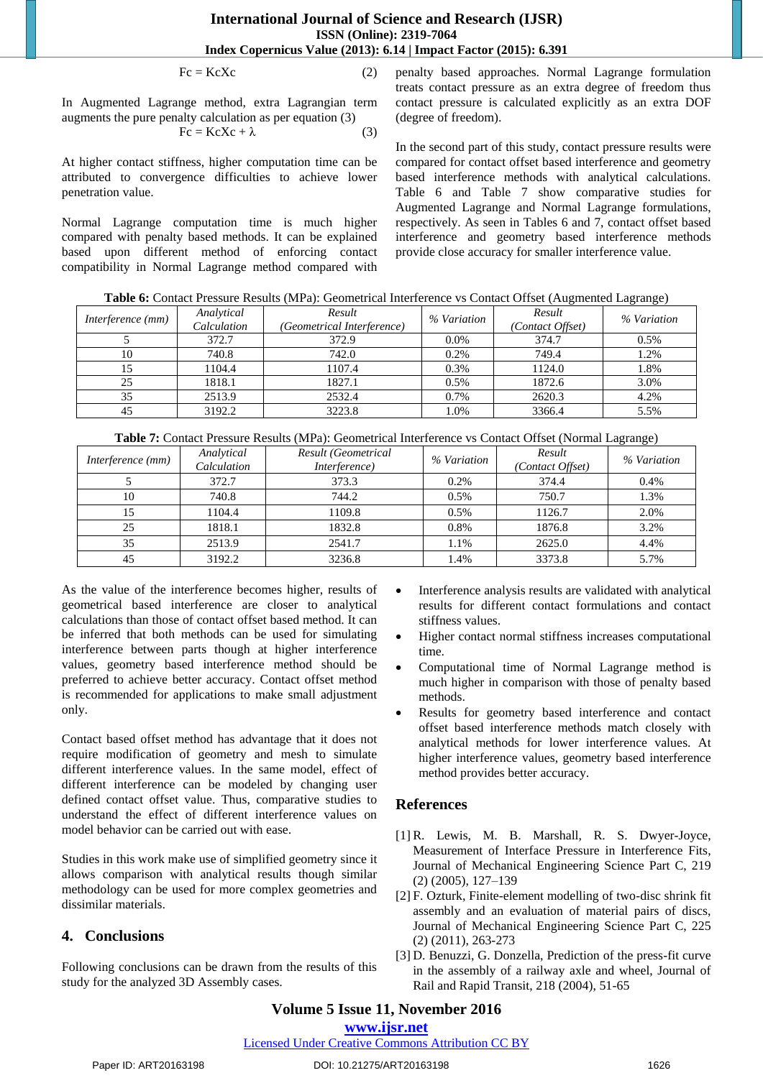$Fc = KcXc$  (2)

In Augmented Lagrange method, extra Lagrangian term augments the pure penalty calculation as per equation (3)

$$
Fc = KcXc + \lambda \tag{3}
$$

At higher contact stiffness, higher computation time can be attributed to convergence difficulties to achieve lower penetration value.

Normal Lagrange computation time is much higher compared with penalty based methods. It can be explained based upon different method of enforcing contact compatibility in Normal Lagrange method compared with penalty based approaches. Normal Lagrange formulation treats contact pressure as an extra degree of freedom thus contact pressure is calculated explicitly as an extra DOF (degree of freedom).

In the second part of this study, contact pressure results were compared for contact offset based interference and geometry based interference methods with analytical calculations. Table 6 and Table 7 show comparative studies for Augmented Lagrange and Normal Lagrange formulations, respectively. As seen in Tables 6 and 7, contact offset based interference and geometry based interference methods provide close accuracy for smaller interference value.

**Table 6:** Contact Pressure Results (MPa): Geometrical Interference vs Contact Offset (Augmented Lagrange)

| Interference (mm) | Analytical<br>Calculation | Result<br>(Geometrical Interference) | % Variation | Result<br>(Contact Offset) | % Variation |
|-------------------|---------------------------|--------------------------------------|-------------|----------------------------|-------------|
|                   | 372.7                     | 372.9                                | 0.0%        | 374.7                      | $0.5\%$     |
| 10                | 740.8                     | 742.0                                | 0.2%        | 749.4                      | 1.2%        |
|                   | 1104.4                    | 1107.4                               | 0.3%        | 1124.0                     | 1.8%        |
| 25                | 1818.1                    | 1827.1                               | 0.5%        | 1872.6                     | 3.0%        |
|                   | 2513.9                    | 2532.4                               | 0.7%        | 2620.3                     | 4.2%        |
| 45                | 3192.2                    | 3223.8                               | $.0\%$      | 3366.4                     | 5.5%        |

**Table 7:** Contact Pressure Results (MPa): Geometrical Interference vs Contact Offset (Normal Lagrange)

| Interference (mm) | Analytical<br>Calculation | Result (Geometrical<br>Interference) | % Variation | Result<br>(Contact Offset) | % Variation |
|-------------------|---------------------------|--------------------------------------|-------------|----------------------------|-------------|
|                   | 372.7                     | 373.3                                | 0.2%        | 374.4                      | 0.4%        |
| 10                | 740.8                     | 744.2                                | 0.5%        | 750.7                      | 1.3%        |
| 15                | 1104.4                    | 1109.8                               | 0.5%        | 1126.7                     | 2.0%        |
| 25                | 1818.1                    | 1832.8                               | 0.8%        | 1876.8                     | 3.2%        |
| 35                | 2513.9                    | 2541.7                               | 1.1%        | 2625.0                     | 4.4%        |
| 45                | 3192.2                    | 3236.8                               | 1.4%        | 3373.8                     | 5.7%        |

As the value of the interference becomes higher, results of geometrical based interference are closer to analytical calculations than those of contact offset based method. It can be inferred that both methods can be used for simulating interference between parts though at higher interference values, geometry based interference method should be preferred to achieve better accuracy. Contact offset method is recommended for applications to make small adjustment only.

Contact based offset method has advantage that it does not require modification of geometry and mesh to simulate different interference values. In the same model, effect of different interference can be modeled by changing user defined contact offset value. Thus, comparative studies to understand the effect of different interference values on model behavior can be carried out with ease.

Studies in this work make use of simplified geometry since it allows comparison with analytical results though similar methodology can be used for more complex geometries and dissimilar materials.

### **4. Conclusions**

Following conclusions can be drawn from the results of this study for the analyzed 3D Assembly cases.

- Interference analysis results are validated with analytical results for different contact formulations and contact stiffness values.
- Higher contact normal stiffness increases computational time.
- Computational time of Normal Lagrange method is much higher in comparison with those of penalty based methods.
- Results for geometry based interference and contact offset based interference methods match closely with analytical methods for lower interference values. At higher interference values, geometry based interference method provides better accuracy.

### **References**

- [1] R. Lewis, M. B. Marshall, R. S. Dwyer-Joyce, Measurement of Interface Pressure in Interference Fits, Journal of Mechanical Engineering Science Part C, 219 (2) (2005), 127–139
- [2] F. Ozturk, Finite-element modelling of two-disc shrink fit assembly and an evaluation of material pairs of discs, Journal of Mechanical Engineering Science Part C, 225 (2) (2011), 263-273
- [3] D. Benuzzi, G. Donzella, Prediction of the press-fit curve in the assembly of a railway axle and wheel, Journal of Rail and Rapid Transit, 218 (2004), 51-65

# **Volume 5 Issue 11, November 2016**

#### **www.ijsr.net**

Licensed Under Creative Commons Attribution CC BY